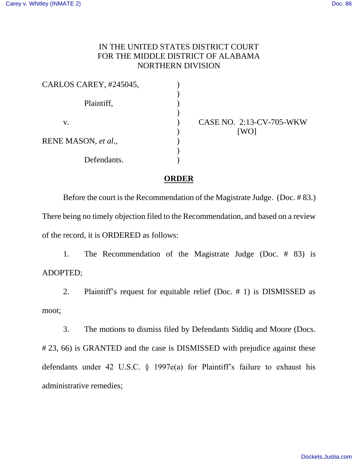## IN THE UNITED STATES DISTRICT COURT FOR THE MIDDLE DISTRICT OF ALABAMA NORTHERN DIVISION

| CARLOS CAREY, #245045, |  |
|------------------------|--|
|                        |  |
| Plaintiff,             |  |
|                        |  |
| V.                     |  |
| RENE MASON, et al.,    |  |
|                        |  |
| Defendants.            |  |

CASE NO. 2:13-CV-705-WKW [WO]

## **ORDER**

Before the court is the Recommendation of the Magistrate Judge. (Doc. # 83.) There being no timely objection filed to the Recommendation, and based on a review of the record, it is ORDERED as follows:

1. The Recommendation of the Magistrate Judge (Doc. # 83) is ADOPTED;

2. Plaintiff's request for equitable relief (Doc. # 1) is DISMISSED as moot;

3. The motions to dismiss filed by Defendants Siddiq and Moore (Docs. # 23, 66) is GRANTED and the case is DISMISSED with prejudice against these defendants under 42 U.S.C. § 1997e(a) for Plaintiff's failure to exhaust his administrative remedies;